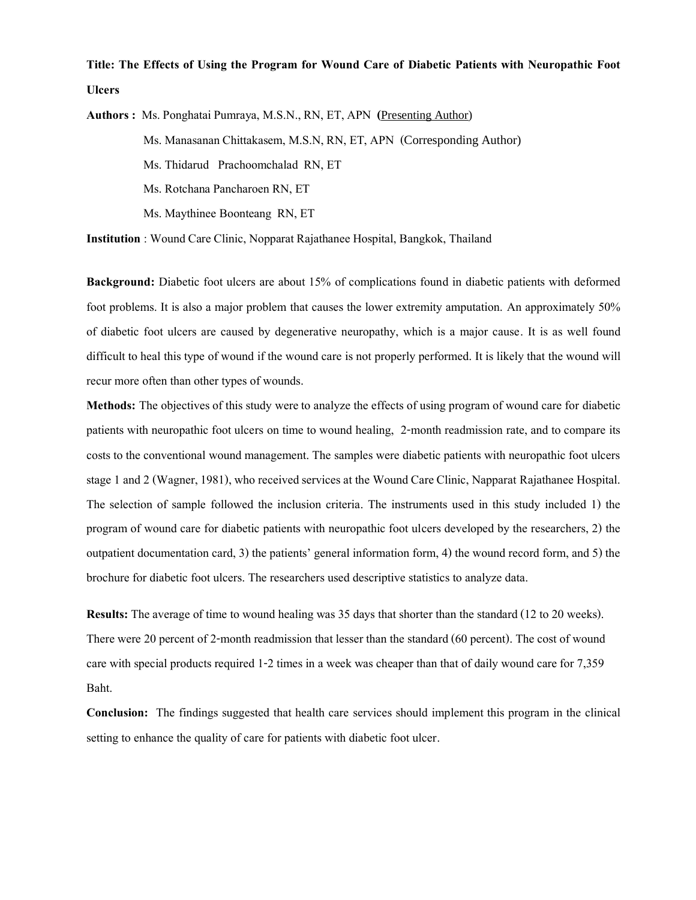## **Title: The Effects of Using the Program for Wound Care of Diabetic Patients with Neuropathic Foot Ulcers**

**Authors :** Ms. Ponghatai Pumraya, M.S.N., RN, ET, APN **(**Presenting Author) Ms. Manasanan Chittakasem, M.S.N, RN, ET, APN (Corresponding Author) Ms. Thidarud Prachoomchalad RN, ET Ms. Rotchana Pancharoen RN, ET Ms. Maythinee Boonteang RN, ET

**Institution** : Wound Care Clinic, Nopparat Rajathanee Hospital, Bangkok, Thailand

**Background:** Diabetic foot ulcers are about 15% of complications found in diabetic patients with deformed foot problems. It is also a major problem that causes the lower extremity amputation. An approximately 50% of diabetic foot ulcers are caused by degenerative neuropathy, which is a major cause. It is as well found difficult to heal this type of wound if the wound care is not properly performed. It is likely that the wound will recur more often than other types of wounds.

**Methods:** The objectives of this study were to analyze the effects of using program of wound care for diabetic patients with neuropathic foot ulcers on time to wound healing, 2-month readmission rate, and to compare its costs to the conventional wound management. The samples were diabetic patients with neuropathic foot ulcers stage 1 and 2 (Wagner,1981), who received services at the Wound Care Clinic, Napparat Rajathanee Hospital. The selection of sample followed the inclusion criteria. The instruments used in this study included 1) the program of wound care for diabetic patients with neuropathic foot ulcers developed by the researchers, 2) the outpatient documentation card, 3) the patients' general information form, 4) the wound record form, and 5) the brochure for diabetic foot ulcers. The researchers used descriptive statistics to analyze data.

**Results:** The average of time to wound healing was 35 days that shorter than the standard (12 to 20 weeks). There were 20 percent of 2-month readmission that lesser than the standard (60 percent). The cost of wound care with special products required 1-2 times in a week was cheaper than that of daily wound care for 7,359 Baht.

**Conclusion:** The findings suggested that health care services should implement this program in the clinical setting to enhance the quality of care for patients with diabetic foot ulcer.